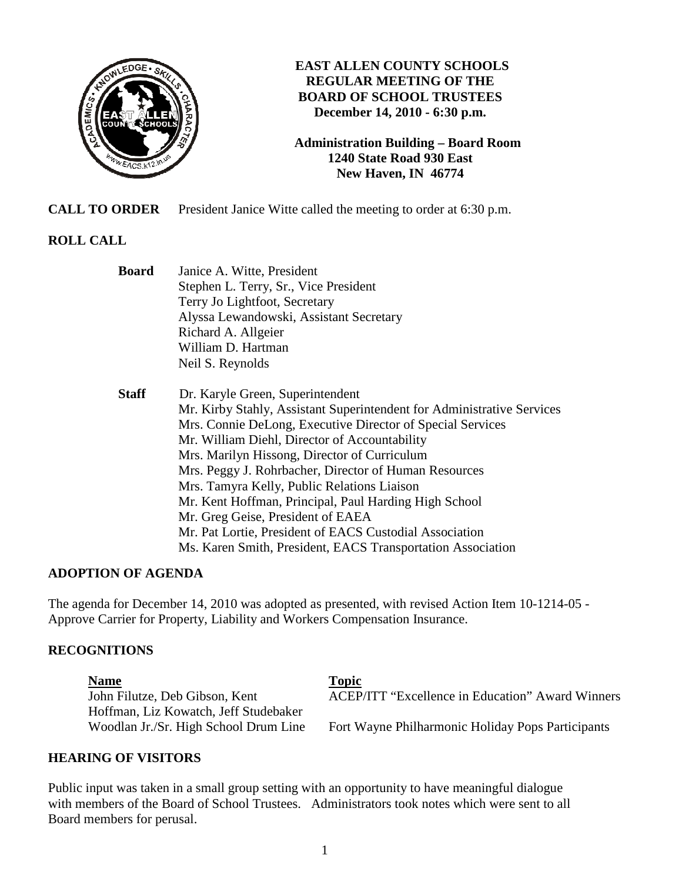

# **EAST ALLEN COUNTY SCHOOLS REGULAR MEETING OF THE BOARD OF SCHOOL TRUSTEES December 14, 2010 - 6:30 p.m.**

**Administration Building – Board Room 1240 State Road 930 East New Haven, IN 46774**

**CALL TO ORDER** President Janice Witte called the meeting to order at 6:30 p.m.

# **ROLL CALL**

| Mr. Kirby Stahly, Assistant Superintendent for Administrative Services |
|------------------------------------------------------------------------|
|                                                                        |
|                                                                        |
|                                                                        |
|                                                                        |
|                                                                        |
|                                                                        |
|                                                                        |
|                                                                        |
|                                                                        |
|                                                                        |

# **ADOPTION OF AGENDA**

The agenda for December 14, 2010 was adopted as presented, with revised Action Item 10-1214-05 - Approve Carrier for Property, Liability and Workers Compensation Insurance.

#### **RECOGNITIONS**

Name Topic **Topic** Hoffman, Liz Kowatch, Jeff Studebaker

John Filutze, Deb Gibson, Kent ACEP/ITT "Excellence in Education" Award Winners

Woodlan Jr./Sr. High School Drum Line Fort Wayne Philharmonic Holiday Pops Participants

#### **HEARING OF VISITORS**

Public input was taken in a small group setting with an opportunity to have meaningful dialogue with members of the Board of School Trustees. Administrators took notes which were sent to all Board members for perusal.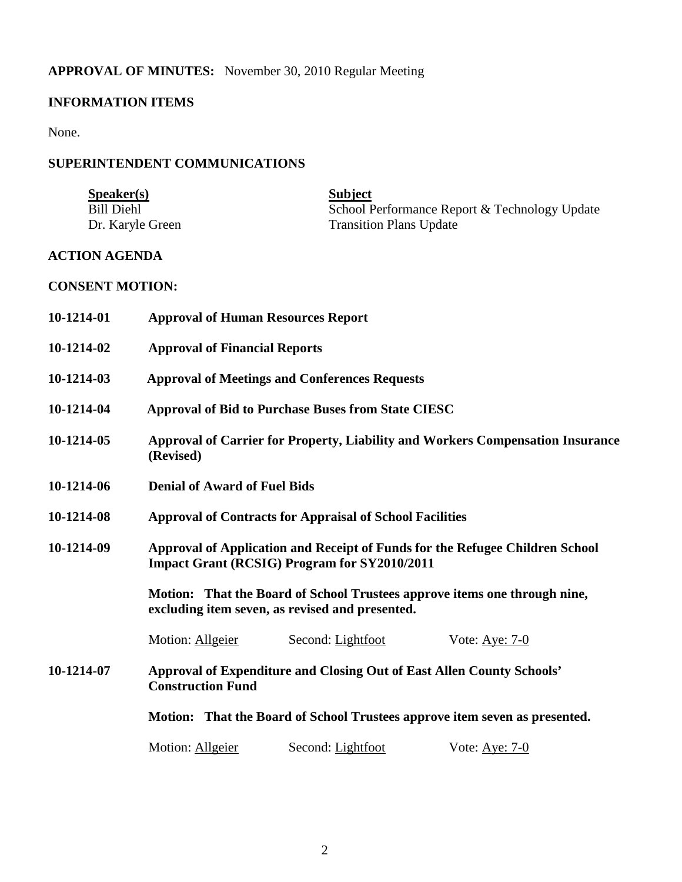# **APPROVAL OF MINUTES:** November 30, 2010 Regular Meeting

# **INFORMATION ITEMS**

None.

# **SUPERINTENDENT COMMUNICATIONS**

| S <sub>p</sub> e <sub>aker(s)</sub> | <b>Subject</b>                                |
|-------------------------------------|-----------------------------------------------|
| Bill Diehl                          | School Performance Report & Technology Update |
| Dr. Karyle Green                    | <b>Transition Plans Update</b>                |

# **ACTION AGENDA**

# **CONSENT MOTION:**

| 10-1214-01 | <b>Approval of Human Resources Report</b>                                                                                           |                                                                       |                                                                            |
|------------|-------------------------------------------------------------------------------------------------------------------------------------|-----------------------------------------------------------------------|----------------------------------------------------------------------------|
| 10-1214-02 | <b>Approval of Financial Reports</b>                                                                                                |                                                                       |                                                                            |
| 10-1214-03 | <b>Approval of Meetings and Conferences Requests</b>                                                                                |                                                                       |                                                                            |
| 10-1214-04 | <b>Approval of Bid to Purchase Buses from State CIESC</b>                                                                           |                                                                       |                                                                            |
| 10-1214-05 | Approval of Carrier for Property, Liability and Workers Compensation Insurance<br>(Revised)                                         |                                                                       |                                                                            |
| 10-1214-06 | <b>Denial of Award of Fuel Bids</b>                                                                                                 |                                                                       |                                                                            |
| 10-1214-08 | <b>Approval of Contracts for Appraisal of School Facilities</b>                                                                     |                                                                       |                                                                            |
| 10-1214-09 | Approval of Application and Receipt of Funds for the Refugee Children School<br><b>Impact Grant (RCSIG) Program for SY2010/2011</b> |                                                                       |                                                                            |
|            |                                                                                                                                     | excluding item seven, as revised and presented.                       | Motion: That the Board of School Trustees approve items one through nine,  |
|            | Motion: Allgeier                                                                                                                    | Second: Lightfoot                                                     | Vote: Aye: $7-0$                                                           |
| 10-1214-07 | <b>Construction Fund</b>                                                                                                            | Approval of Expenditure and Closing Out of East Allen County Schools' |                                                                            |
|            |                                                                                                                                     |                                                                       | Motion: That the Board of School Trustees approve item seven as presented. |
|            | Motion: Allgeier                                                                                                                    | Second: Lightfoot                                                     | Vote: $Aye: 7-0$                                                           |